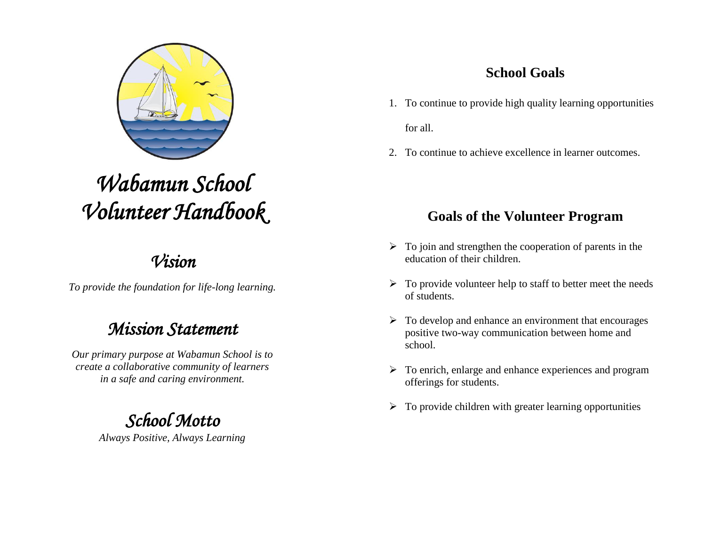

# *Wabamun School Volunteer Handbook*

## *Vision*

*To provide the foundation for life-long learning.*

## *Mission Statement*

*Our primary purpose at Wabamun School is to create a collaborative community of learners in a safe and caring environment.*

## *School Motto*

*Always Positive, Always Learning*

## **School Goals**

- 1. To continue to provide high quality learning opportunities for all.
- 2. To continue to achieve excellence in learner outcomes.

## **Goals of the Volunteer Program**

- $\triangleright$  To join and strengthen the cooperation of parents in the education of their children.
- $\triangleright$  To provide volunteer help to staff to better meet the needs of students.
- $\triangleright$  To develop and enhance an environment that encourages positive two-way communication between home and school.
- $\triangleright$  To enrich, enlarge and enhance experiences and program offerings for students.
- $\triangleright$  To provide children with greater learning opportunities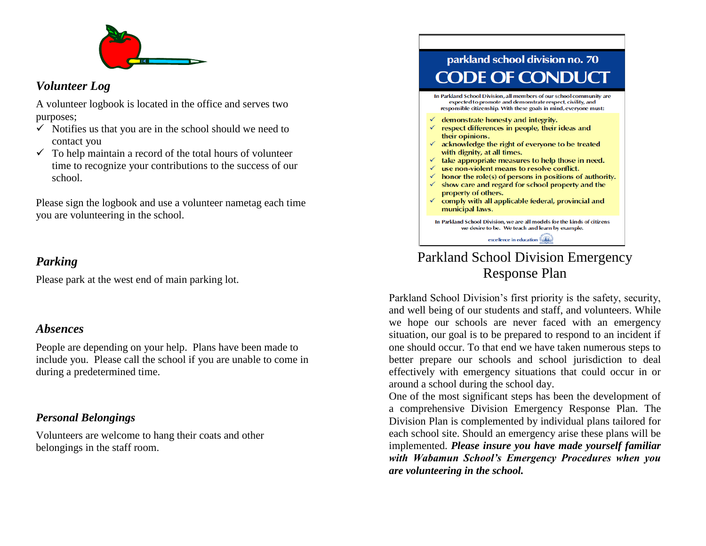

#### *Volunteer Log*

A volunteer logbook is located in the office and serves two purposes;

- $\checkmark$  Notifies us that you are in the school should we need to contact you
- $\checkmark$  To help maintain a record of the total hours of volunteer time to recognize your contributions to the success of our school.

Please sign the logbook and use a volunteer nametag each time you are volunteering in the school.

#### *Parking*

Please park at the west end of main parking lot.

#### *Absences*

People are depending on your help. Plans have been made to include you. Please call the school if you are unable to come in during a predetermined time.

#### *Personal Belongings*

Volunteers are welcome to hang their coats and other belongings in the staff room.

## parkland school division no. 70 **DDE OF CONDU**

In Parkland School Division, all members of our school community are expected to promote and demonstrate respect, civility, and responsible citizenship. With these goals in mind, everyone must:

- $\checkmark$  demonstrate honesty and integrity.
- $\checkmark$  respect differences in people, their ideas and their opinions.
- $\checkmark$  acknowledge the right of everyone to be treated with dignity, at all times.
- $\checkmark$  take appropriate measures to help those in need.
- $\checkmark$  use non-violent means to resolve conflict.
- $\checkmark$  honor the role(s) of persons in positions of authority.
- $\checkmark$  show care and regard for school property and the property of others.
- $\checkmark$  comply with all applicable federal, provincial and municipal laws.

In Parkland School Division, we are all models for the kinds of citizens we desire to be. We teach and learn by example.

excellence in education

### Parkland School Division Emergency Response Plan

Parkland School Division's first priority is the safety, security, and well being of our students and staff, and volunteers. While we hope our schools are never faced with an emergency situation, our goal is to be prepared to respond to an incident if one should occur. To that end we have taken numerous steps to better prepare our schools and school jurisdiction to deal effectively with emergency situations that could occur in or around a school during the school day.

One of the most significant steps has been the development of a comprehensive Division Emergency Response Plan. The Division Plan is complemented by individual plans tailored for each school site. Should an emergency arise these plans will be implemented. *Please insure you have made yourself familiar with Wabamun School's Emergency Procedures when you are volunteering in the school.*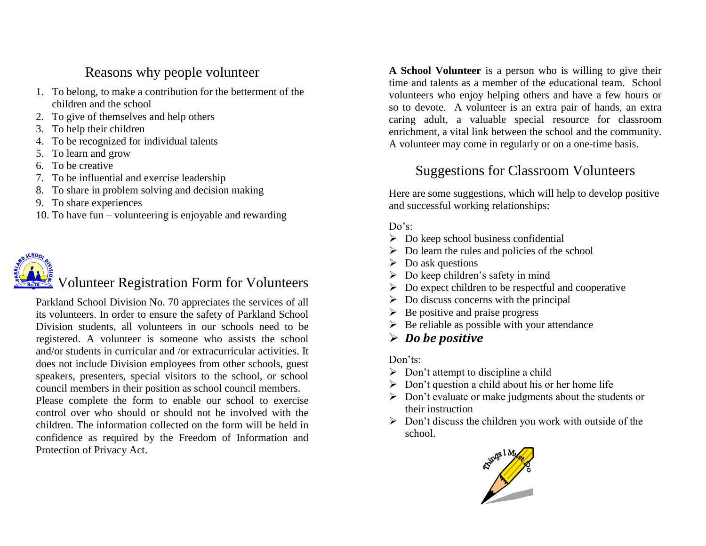#### Reasons why people volunteer

- 1. To belong, to make a contribution for the betterment of the children and the school
- 2. To give of themselves and help others
- 3. To help their children
- 4. To be recognized for individual talents
- 5. To learn and grow
- 6. To be creative
- 7. To be influential and exercise leadership
- 8. To share in problem solving and decision making
- 9. To share experiences
- 10. To have fun volunteering is enjoyable and rewarding



## Volunteer Registration Form for Volunteers

Parkland School Division No. 70 appreciates the services of all its volunteers. In order to ensure the safety of Parkland School Division students, all volunteers in our schools need to be registered. A volunteer is someone who assists the school and/or students in curricular and /or extracurricular activities. It does not include Division employees from other schools, guest speakers, presenters, special visitors to the school, or school council members in their position as school council members.

Please complete the form to enable our school to exercise control over who should or should not be involved with the children. The information collected on the form will be held in confidence as required by the Freedom of Information and Protection of Privacy Act.

**A School Volunteer** is a person who is willing to give their time and talents as a member of the educational team. School volunteers who enjoy helping others and have a few hours or so to devote. A volunteer is an extra pair of hands, an extra caring adult, a valuable special resource for classroom enrichment, a vital link between the school and the community. A volunteer may come in regularly or on a one-time basis.

### Suggestions for Classroom Volunteers

Here are some suggestions, which will help to develop positive and successful working relationships:

#### Do's:

- $\triangleright$  Do keep school business confidential
- $\triangleright$  Do learn the rules and policies of the school
- $\triangleright$  Do ask questions
- $\triangleright$  Do keep children's safety in mind
- $\triangleright$  Do expect children to be respectful and cooperative
- $\triangleright$  Do discuss concerns with the principal
- $\triangleright$  Be positive and praise progress
- $\triangleright$  Be reliable as possible with your attendance
- *Do be positive*

Don'ts:

- $\triangleright$  Don't attempt to discipline a child
- $\triangleright$  Don't question a child about his or her home life
- $\triangleright$  Don't evaluate or make judgments about the students or their instruction
- $\triangleright$  Don't discuss the children you work with outside of the school.